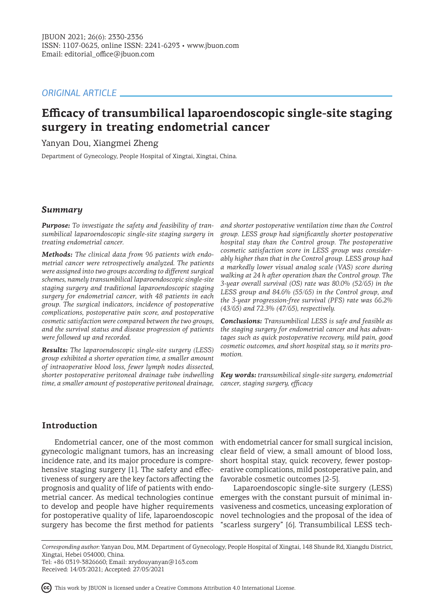# *ORIGINAL ARTICLE*

# **Efficacy of transumbilical laparoendoscopic single-site staging surgery in treating endometrial cancer**

Yanyan Dou, Xiangmei Zheng

Department of Gynecology, People Hospital of Xingtai, Xingtai, China.

## *Summary*

*Purpose: To investigate the safety and feasibility of transumbilical laparoendoscopic single-site staging surgery in treating endometrial cancer.*

*Methods: The clinical data from 96 patients with endometrial cancer were retrospectively analyzed. The patients were assigned into two groups according to different surgical schemes, namely transumbilical laparoendoscopic single-site staging surgery and traditional laparoendoscopic staging surgery for endometrial cancer, with 48 patients in each group. The surgical indicators, incidence of postoperative complications, postoperative pain score, and postoperative cosmetic satisfaction were compared between the two groups, and the survival status and disease progression of patients were followed up and recorded.*

*Results: The laparoendoscopic single-site surgery (LESS) group exhibited a shorter operation time, a smaller amount of intraoperative blood loss, fewer lymph nodes dissected, shorter postoperative peritoneal drainage tube indwelling time, a smaller amount of postoperative peritoneal drainage,* 

*and shorter postoperative ventilation time than the Control group. LESS group had significantly shorter postoperative hospital stay than the Control group. The postoperative cosmetic satisfaction score in LESS group was considerably higher than that in the Control group. LESS group had a markedly lower visual analog scale (VAS) score during walking at 24 h after operation than the Control group. The 3-year overall survival (OS) rate was 80.0% (52/65) in the LESS group and 84.6% (55/65) in the Control group, and the 3-year progression-free survival (PFS) rate was 66.2% (43/65) and 72.3% (47/65), respectively.*

*Conclusions: Transumbilical LESS is safe and feasible as the staging surgery for endometrial cancer and has advantages such as quick postoperative recovery, mild pain, good cosmetic outcomes, and short hospital stay, so it merits promotion.*

*Key words: transumbilical single-site surgery, endometrial cancer, staging surgery, efficacy*

# **Introduction**

Endometrial cancer, one of the most common gynecologic malignant tumors, has an increasing incidence rate, and its major procedure is comprehensive staging surgery [1]. The safety and effectiveness of surgery are the key factors affecting the prognosis and quality of life of patients with endometrial cancer. As medical technologies continue to develop and people have higher requirements for postoperative quality of life, laparoendoscopic surgery has become the first method for patients

with endometrial cancer for small surgical incision, clear field of view, a small amount of blood loss, short hospital stay, quick recovery, fewer postoperative complications, mild postoperative pain, and favorable cosmetic outcomes [2-5].

Laparoendoscopic single-site surgery (LESS) emerges with the constant pursuit of minimal invasiveness and cosmetics, unceasing exploration of novel technologies and the proposal of the idea of "scarless surgery" [6]. Transumbilical LESS tech-

This work by JBUON is licensed under a Creative Commons Attribution 4.0 International License.

*Corresponding author:* Yanyan Dou, MM. Department of Gynecology, People Hospital of Xingtai, 148 Shunde Rd, Xiangdu District, Xingtai, Hebei 054000, China.

Tel: +86 0319-3826660; Email: xrydouyanyan@163.com Received: 14/03/2021; Accepted: 27/05/2021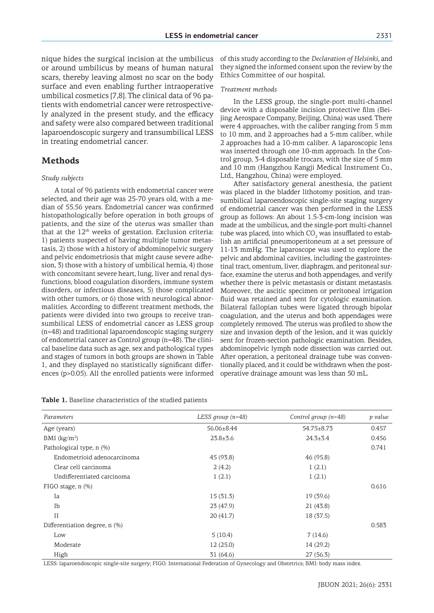nique hides the surgical incision at the umbilicus of this study according to the *Declaration of Helsinki*, and or around umbilicus by means of human natur scars, thereby leaving almost no scar on the bo surface and even enabling further intraoperative umbilical cosmetics [7,8]. The clinical data of 96 patients with endometrial cancer were retrospectively analyzed in the present study, and the efficacy and safety were also compared between traditional laparoendoscopic surgery and transumbilical LESS in treating endometrial cancer.

#### **Methods**

#### *Study subjects*

A total of 96 patients with endometrial cancer were selected, and their age was 25-70 years old, with a median of 55.56 years. Endometrial cancer was confirmed histopathologically before operation in both groups of patients, and the size of the uterus was smaller than that at the  $12<sup>th</sup>$  weeks of gestation. Exclusion criteria: 1) patients suspected of having multiple tumor metastasis, 2) those with a history of abdominopelvic surgery and pelvic endometriosis that might cause severe adhesion, 3) those with a history of umbilical hernia, 4) those with concomitant severe heart, lung, liver and renal dysfunctions, blood coagulation disorders, immune system disorders, or infectious diseases, 5) those complicated with other tumors, or 6) those with neurological abnormalities. According to different treatment methods, the patients were divided into two groups to receive transumbilical LESS of endometrial cancer as LESS group (n=48) and traditional laparoendoscopic staging surgery of endometrial cancer as Control group (n=48). The clinical baseline data such as age, sex and pathological types and stages of tumors in both groups are shown in Table 1, and they displayed no statistically significant differences (p>0.05). All the enrolled patients were informed

**Table 1.** Baseline characteristics of the studied patients

| ral     they signed the informed consent upon the review by the |
|-----------------------------------------------------------------|
| dy Ethics Committee of our hospital.                            |
|                                                                 |

#### *Treatment methods*

In the LESS group, the single-port multi-channel device with a disposable incision protective film (Beijing Aerospace Company, Beijing, China) was used. There were 4 approaches, with the caliber ranging from 5 mm to 10 mm, and 2 approaches had a 5-mm caliber, while 2 approaches had a 10-mm caliber. A laparoscopic lens was inserted through one 10-mm approach. In the Control group, 3-4 disposable trocars, with the size of 5 mm and 10 mm (Hangzhou Kangji Medical Instrument Co., Ltd., Hangzhou, China) were employed.

After satisfactory general anesthesia, the patient was placed in the bladder lithotomy position, and transumbilical laparoendoscopic single-site staging surgery of endometrial cancer was then performed in the LESS group as follows: An about 1.5-3-cm-long incision was made at the umbilicus, and the single-port multi-channel tube was placed, into which CO $_{\textrm{\tiny{2}}}$  was insufflated to establish an artificial pneumoperitoneum at a set pressure of 11-13 mmHg. The laparoscope was used to explore the pelvic and abdominal cavities, including the gastrointestinal tract, omentum, liver, diaphragm, and peritoneal surface, examine the uterus and both appendages, and verify whether there is pelvic metastasis or distant metastasis. Moreover, the ascitic specimen or peritoneal irrigation fluid was retained and sent for cytologic examination. Bilateral fallopian tubes were ligated through bipolar coagulation, and the uterus and both appendages were completely removed. The uterus was profiled to show the size and invasion depth of the lesion, and it was quickly sent for frozen-section pathologic examination. Besides, abdominopelvic lymph node dissection was carried out. After operation, a peritoneal drainage tube was conventionally placed, and it could be withdrawn when the postoperative drainage amount was less than 50 mL.

| Parameters                    | LESS group (n=48) | Control group $(n=48)$ | p value |  |
|-------------------------------|-------------------|------------------------|---------|--|
| Age (years)                   | 56.06±8.44        | 54.75±8.73             | 0.457   |  |
| BMI $(kg/m2)$                 | $23.8 + 3.6$      | $24.3 \pm 3.4$         | 0.456   |  |
| Pathological type, n (%)      |                   |                        | 0.741   |  |
| Endometrioid adenocarcinoma   | 45 (93.8)         | 46 (95.8)              |         |  |
| Clear cell carcinoma          | 2(4.2)            | 1(2.1)                 |         |  |
| Undifferentiated carcinoma    | 1(2.1)            | 1(2.1)                 |         |  |
| FIGO stage, $n$ $(\%)$        |                   |                        | 0.616   |  |
| Ia                            | 15(31.3)          | 19(39.6)               |         |  |
| Ib                            | 23(47.9)          | 21(43.8)               |         |  |
| $_{\rm II}$                   | 20(41.7)          | 18 (37.5)              |         |  |
| Differentiation degree, n (%) |                   |                        | 0.583   |  |
| Low                           | 5(10.4)           | 7(14.6)                |         |  |
| Moderate                      | 12(25.0)          | 14(29.2)               |         |  |
| High                          | 31(64.6)          | 27(56.3)               |         |  |

LESS: laparoendoscopic single-site surgery; FIGO: International Federation of Gynecology and Obstetrics; BMI: body mass index.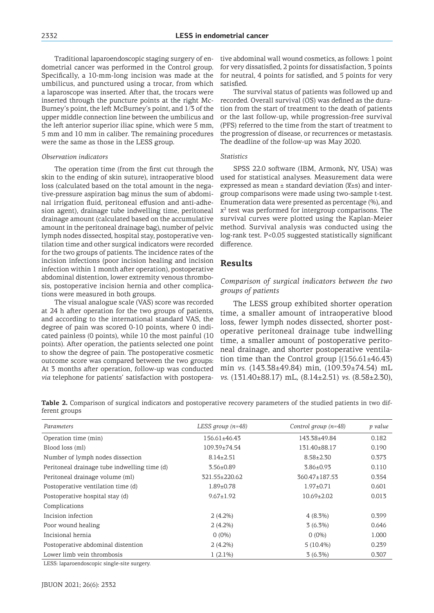Traditional laparoendoscopic staging surgery of endometrial cancer was performed in the Control group. Specifically, a 10-mm-long incision was made at the umbilicus, and punctured using a trocar, from which a laparoscope was inserted. After that, the trocars were inserted through the puncture points at the right Mc-Burney's point, the left McBurney's point, and 1/3 of the upper middle connection line between the umbilicus and the left anterior superior iliac spine, which were 5 mm, 5 mm and 10 mm in caliber. The remaining procedures were the same as those in the LESS group.

#### *Observation indicators*

The operation time (from the first cut through the skin to the ending of skin suture), intraoperative blood loss (calculated based on the total amount in the negative-pressure aspiration bag minus the sum of abdominal irrigation fluid, peritoneal effusion and anti-adhesion agent), drainage tube indwelling time, peritoneal drainage amount (calculated based on the accumulative amount in the peritoneal drainage bag), number of pelvic lymph nodes dissected, hospital stay, postoperative ventilation time and other surgical indicators were recorded for the two groups of patients. The incidence rates of the incision infections (poor incision healing and incision infection within 1 month after operation), postoperative abdominal distention, lower extremity venous thrombosis, postoperative incision hernia and other complications were measured in both groups.

The visual analogue scale (VAS) score was recorded at 24 h after operation for the two groups of patients, and according to the international standard VAS, the degree of pain was scored 0-10 points, where 0 indicated painless (0 points), while 10 the most painful (10 points). After operation, the patients selected one point to show the degree of pain. The postoperative cosmetic outcome score was compared between the two groups: At 3 months after operation, follow-up was conducted *via* telephone for patients' satisfaction with postopera-

tive abdominal wall wound cosmetics, as follows: 1 point for very dissatisfied, 2 points for dissatisfaction, 3 points for neutral, 4 points for satisfied, and 5 points for very satisfied.

The survival status of patients was followed up and recorded. Overall survival (OS) was defined as the duration from the start of treatment to the death of patients or the last follow-up, while progression-free survival (PFS) referred to the time from the start of treatment to the progression of disease, or recurrences or metastasis. The deadline of the follow-up was May 2020.

#### *Statistics*

SPSS 22.0 software (IBM, Armonk, NY, USA) was used for statistical analyses. Measurement data were expressed as mean  $\pm$  standard deviation ( $\overline{x}$ ±s) and intergroup comparisons were made using two-sample t-test. Enumeration data were presented as percentage (%), and  $x<sup>2</sup>$  test was performed for intergroup comparisons. The survival curves were plotted using the Kaplan-Meier method. Survival analysis was conducted using the log-rank test. P<0.05 suggested statistically significant difference.

## **Results**

#### *Comparison of surgical indicators between the two groups of patients*

The LESS group exhibited shorter operation time, a smaller amount of intraoperative blood loss, fewer lymph nodes dissected, shorter postoperative peritoneal drainage tube indwelling time, a smaller amount of postoperative peritoneal drainage, and shorter postoperative ventilation time than the Control group  $(156.61\pm46.43)$ min *vs.* (143.38±49.84) min, (109.39±74.54) mL *vs.* (131.40±88.17) mL, (8.14±2.51) *vs.* (8.58±2.30),

**Table 2.** Comparison of surgical indicators and postoperative recovery parameters of the studied patients in two different groups

| Parameters                                   | LESS group $(n=48)$ | Control group $(n=48)$ | p value |
|----------------------------------------------|---------------------|------------------------|---------|
| Operation time (min)                         | 156.61±46.43        | 143.38±49.84           | 0.182   |
| Blood loss (ml)                              | $109.39 \pm 74.54$  | 131.40±88.17           | 0.190   |
| Number of lymph nodes dissection             | $8.14 \pm 2.51$     | $8.58 \pm 2.30$        | 0.373   |
| Peritoneal drainage tube indwelling time (d) | $3.56 \pm 0.89$     | $3.86 \pm 0.93$        | 0.110   |
| Peritoneal drainage volume (ml)              | 321.55±220.62       | $360.47 \pm 187.53$    | 0.354   |
| Postoperative ventilation time (d)           | $1.89 \pm 0.78$     | $1.97 \pm 0.71$        | 0.601   |
| Postoperative hospital stay (d)              | $9.67 \pm 1.92$     | $10.69 \pm 2.02$       | 0.013   |
| Complications                                |                     |                        |         |
| Incision infection                           | $2(4.2\%)$          | $4(8.3\%)$             | 0.399   |
| Poor wound healing                           | $2(4.2\%)$          | $3(6.3\%)$             | 0.646   |
| Incisional hernia                            | $0(0\%)$            | $0(0\%)$               | 1.000   |
| Postoperative abdominal distention           | $2(4.2\%)$          | $5(10.4\%)$            | 0.239   |
| Lower limb vein thrombosis                   | $1(2.1\%)$          | $3(6.3\%)$             | 0.307   |

LESS: laparoendoscopic single-site surgery.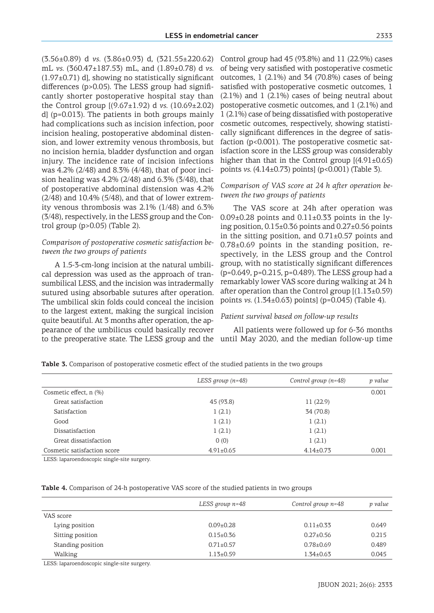(3.56±0.89) d *vs.* (3.86±0.93) d, (321.55±220.62) mL *vs.* (360.47±187.53) mL, and (1.89±0.78) d *vs.*   $(1.97\pm0.71)$  d], showing no statistically significant differences (p>0.05). The LESS group had significantly shorter postoperative hospital stay than the Control group [(9.67±1.92) d *vs.* (10.69±2.02) d] (p=0.013). The patients in both groups mainly had complications such as incision infection, poor incision healing, postoperative abdominal distension, and lower extremity venous thrombosis, but no incision hernia, bladder dysfunction and organ injury. The incidence rate of incision infections was 4.2% (2/48) and 8.3% (4/48), that of poor incision healing was 4.2% (2/48) and 6.3% (3/48), that of postoperative abdominal distension was 4.2% (2/48) and 10.4% (5/48), and that of lower extremity venous thrombosis was 2.1% (1/48) and 6.3% (3/48), respectively, in the LESS group and the Control group (p>0.05) (Table 2).

## *Comparison of postoperative cosmetic satisfaction between the two groups of patients*

A 1.5-3-cm-long incision at the natural umbilical depression was used as the approach of transumbilical LESS, and the incision was intradermally sutured using absorbable sutures after operation. The umbilical skin folds could conceal the incision to the largest extent, making the surgical incision quite beautiful. At 3 months after operation, the appearance of the umbilicus could basically recover to the preoperative state. The LESS group and the

Control group had 45 (93.8%) and 11 (22.9%) cases of being very satisfied with postoperative cosmetic outcomes,  $1(2.1\%)$  and 34 (70.8%) cases of being satisfied with postoperative cosmetic outcomes, 1  $(2.1\%)$  and 1  $(2.1\%)$  cases of being neutral about postoperative cosmetic outcomes, and 1 (2.1%) and 1 (2.1%) case of being dissatisfied with postoperative cosmetic outcomes, respectively, showing statistically significant differences in the degree of satisfaction (p<0.001). The postoperative cosmetic satisfaction score in the LESS group was considerably higher than that in the Control group  $[(4.91\pm0.65)]$ points *vs.* (4.14±0.73) points] (p<0.001) (Table 3).

## *Comparison of VAS score at 24 h after operation between the two groups of patients*

The VAS score at 24h after operation was  $0.09\pm0.28$  points and  $0.11\pm0.33$  points in the lying position, 0.15±0.36 points and 0.27±0.56 points in the sitting position, and  $0.71\pm0.57$  points and 0.78±0.69 points in the standing position, respectively, in the LESS group and the Control group, with no statistically significant differences (p=0.649, p=0.215, p=0.489). The LESS group had a remarkably lower VAS score during walking at 24 h after operation than the Control group  $[(1.13\pm0.59)]$ points *vs.* (1.34±0.63) points] (p=0.045) (Table 4).

## *Patient survival based on follow-up results*

All patients were followed up for 6-36 months until May 2020, and the median follow-up time

|  | Table 3. Comparison of postoperative cosmetic effect of the studied patients in the two groups |  |  |  |  |  |
|--|------------------------------------------------------------------------------------------------|--|--|--|--|--|
|  |                                                                                                |  |  |  |  |  |

|                             | LESS group $(n=48)$ | Control group $(n=48)$ | p value |
|-----------------------------|---------------------|------------------------|---------|
| Cosmetic effect, n (%)      |                     |                        | 0.001   |
| Great satisfaction          | 45 (93.8)           | 11(22.9)               |         |
| Satisfaction                | 1(2.1)              | 34 (70.8)              |         |
| Good                        | 1(2.1)              | 1(2.1)                 |         |
| Dissatisfaction             | 1(2.1)              | 1(2.1)                 |         |
| Great dissatisfaction       | 0(0)                | 1(2.1)                 |         |
| Cosmetic satisfaction score | $4.91 \pm 0.65$     | $4.14\pm0.73$          | 0.001   |

LESS: laparoendoscopic single-site surgery.

|                                    | LESS group $n=48$ | Control group $n=48$ | p value |
|------------------------------------|-------------------|----------------------|---------|
| VAS score                          |                   |                      |         |
| Lying position                     | $0.09 \pm 0.28$   | $0.11 \pm 0.33$      | 0.649   |
| Sitting position                   | $0.15 \pm 0.36$   | $0.27 \pm 0.56$      | 0.215   |
| Standing position                  | $0.71 \pm 0.57$   | $0.78 \pm 0.69$      | 0.489   |
| Walking                            | $1.13 \pm 0.59$   | $1.34 \pm 0.63$      | 0.045   |
| $\mathbf{v}$ man $\mathbf{v}$<br>. |                   |                      |         |

LESS: laparoendoscopic single-site surgery.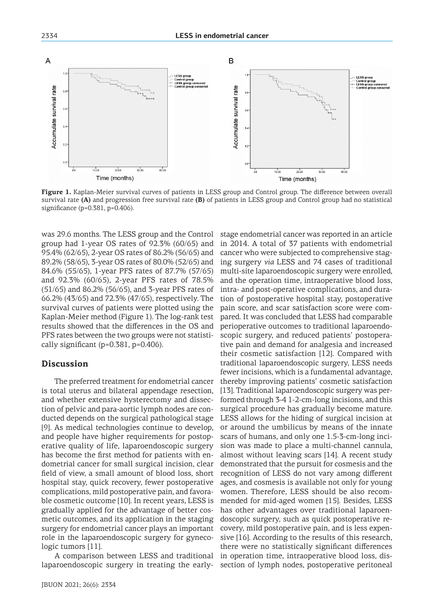

**Figure 1.** Kaplan-Meier survival curves of patients in LESS group and Control group. The difference between overall survival rate **(A)** and progression free survival rate **(B)** of patients in LESS group and Control group had no statistical significance (p=0.381, p=0.406).

was 29.6 months. The LESS group and the Control group had 1-year OS rates of 92.3% (60/65) and 95.4% (62/65), 2-year OS rates of 86.2% (56/65) and 89.2% (58/65), 3-year OS rates of 80.0% (52/65) and 84.6% (55/65), 1-year PFS rates of 87.7% (57/65) and 92.3% (60/65), 2-year PFS rates of 78.5% (51/65) and 86.2% (56/65), and 3-year PFS rates of 66.2% (43/65) and 72.3% (47/65), respectively. The survival curves of patients were plotted using the Kaplan-Meier method (Figure 1). The log-rank test results showed that the differences in the OS and PFS rates between the two groups were not statistically significant (p=0.381, p=0.406).

## **Discussion**

The preferred treatment for endometrial cancer is total uterus and bilateral appendage resection, and whether extensive hysterectomy and dissection of pelvic and para-aortic lymph nodes are conducted depends on the surgical pathological stage [9]. As medical technologies continue to develop, and people have higher requirements for postoperative quality of life, laparoendoscopic surgery has become the first method for patients with endometrial cancer for small surgical incision, clear field of view, a small amount of blood loss, short hospital stay, quick recovery, fewer postoperative complications, mild postoperative pain, and favorable cosmetic outcome [10]. In recent years, LESS is gradually applied for the advantage of better cosmetic outcomes, and its application in the staging surgery for endometrial cancer plays an important role in the laparoendoscopic surgery for gynecologic tumors [11].

A comparison between LESS and traditional laparoendoscopic surgery in treating the early-

stage endometrial cancer was reported in an article in 2014. A total of 37 patients with endometrial cancer who were subjected to comprehensive staging surgery *via* LESS and 74 cases of traditional multi-site laparoendoscopic surgery were enrolled, and the operation time, intraoperative blood loss, intra- and post-operative complications, and duration of postoperative hospital stay, postoperative pain score, and scar satisfaction score were compared. It was concluded that LESS had comparable perioperative outcomes to traditional laparoendoscopic surgery, and reduced patients' postoperative pain and demand for analgesia and increased their cosmetic satisfaction [12]. Compared with traditional laparoendoscopic surgery, LESS needs fewer incisions, which is a fundamental advantage, thereby improving patients' cosmetic satisfaction [13]. Traditional laparoendoscopic surgery was performed through 3-4 1-2-cm-long incisions, and this surgical procedure has gradually become mature. LESS allows for the hiding of surgical incision at or around the umbilicus by means of the innate scars of humans, and only one 1.5-3-cm-long incision was made to place a multi-channel cannula, almost without leaving scars [14]. A recent study demonstrated that the pursuit for cosmesis and the recognition of LESS do not vary among different ages, and cosmesis is available not only for young women. Therefore, LESS should be also recommended for mid-aged women [15]. Besides, LESS has other advantages over traditional laparoendoscopic surgery, such as quick postoperative recovery, mild postoperative pain, and is less expensive [16]. According to the results of this research, there were no statistically significant differences in operation time, intraoperative blood loss, dissection of lymph nodes, postoperative peritoneal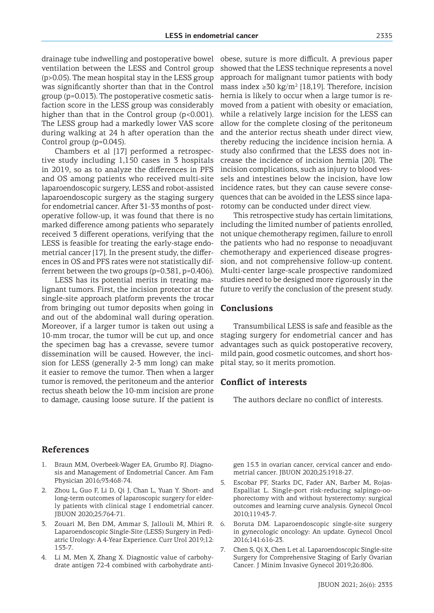drainage tube indwelling and postoperative bowel ventilation between the LESS and Control group (p>0.05). The mean hospital stay in the LESS group was significantly shorter than that in the Control group (p=0.013). The postoperative cosmetic satisfaction score in the LESS group was considerably higher than that in the Control group  $(p<0.001)$ . The LESS group had a markedly lower VAS score during walking at 24 h after operation than the Control group (p=0.045).

Chambers et al [17] performed a retrospective study including 1,150 cases in 3 hospitals in 2019, so as to analyze the differences in PFS and OS among patients who received multi-site laparoendoscopic surgery, LESS and robot-assisted laparoendoscopic surgery as the staging surgery for endometrial cancer. After 31-33 months of postoperative follow-up, it was found that there is no marked difference among patients who separately received 3 different operations, verifying that the LESS is feasible for treating the early-stage endometrial cancer [17]. In the present study, the differences in OS and PFS rates were not statistically differrent between the two groups (p=0.381, p=0.406).

LESS has its potential merits in treating malignant tumors. First, the incision protector at the single-site approach platform prevents the trocar from bringing out tumor deposits when going in and out of the abdominal wall during operation. Moreover, if a larger tumor is taken out using a 10-mm trocar, the tumor will be cut up, and once the specimen bag has a crevasse, severe tumor dissemination will be caused. However, the incision for LESS (generally 2-3 mm long) can make it easier to remove the tumor. Then when a larger tumor is removed, the peritoneum and the anterior rectus sheath below the 10-mm incision are prone to damage, causing loose suture. If the patient is

obese, suture is more difficult. A previous paper showed that the LESS technique represents a novel approach for malignant tumor patients with body mass index ≥30 kg/m<sup>2</sup> [18,19]. Therefore, incision hernia is likely to occur when a large tumor is removed from a patient with obesity or emaciation, while a relatively large incision for the LESS can allow for the complete closing of the peritoneum and the anterior rectus sheath under direct view, thereby reducing the incidence incision hernia. A study also confirmed that the LESS does not increase the incidence of incision hernia [20]. The incision complications, such as injury to blood vessels and intestines below the incision, have low incidence rates, but they can cause severe consequences that can be avoided in the LESS since laparotomy can be conducted under direct view.

This retrospective study has certain limitations, including the limited number of patients enrolled, not unique chemotherapy regimen, failure to enroll the patients who had no response to neoadjuvant chemotherapy and experienced disease progression, and not comprehensive follow-up content. Multi-center large-scale prospective randomized studies need to be designed more rigorously in the future to verify the conclusion of the present study.

#### **Conclusions**

Transumbilical LESS is safe and feasible as the staging surgery for endometrial cancer and has advantages such as quick postoperative recovery, mild pain, good cosmetic outcomes, and short hospital stay, so it merits promotion.

#### **Conflict of interests**

The authors declare no conflict of interests.

## **References**

- 1. Braun MM, Overbeek-Wager EA, Grumbo RJ. Diagnosis and Management of Endometrial Cancer. Am Fam Physician 2016;93:468-74.
- 2. Zhou L, Guo F, Li D, Qi J, Chan L, Yuan Y. Short- and long-term outcomes of laparoscopic surgery for elderly patients with clinical stage I endometrial cancer. JBUON 2020;25:764-71.
- 3. Zouari M, Ben DM, Ammar S, Jallouli M, Mhiri R. Laparoendoscopic Single-Site (LESS) Surgery in Pediatric Urology: A 4-Year Experience. Curr Urol 2019;12: 153-7.
- 4. Li M, Men X, Zhang X. Diagnostic value of carbohydrate antigen 72-4 combined with carbohydrate anti-

gen 15.3 in ovarian cancer, cervical cancer and endometrial cancer. JBUON 2020;25:1918-27.

- 5. Escobar PF, Starks DC, Fader AN, Barber M, Rojas-Espalliat L. Single-port risk-reducing salpingo-oophorectomy with and without hysterectomy: surgical outcomes and learning curve analysis. Gynecol Oncol 2010;119:43-7.
- 6. Boruta DM. Laparoendoscopic single-site surgery in gynecologic oncology: An update. Gynecol Oncol 2016;141:616-23.
- 7. Chen S, Qi X, Chen L et al. Laparoendoscopic Single-site Surgery for Comprehensive Staging of Early Ovarian Cancer. J Minim Invasive Gynecol 2019;26:806.